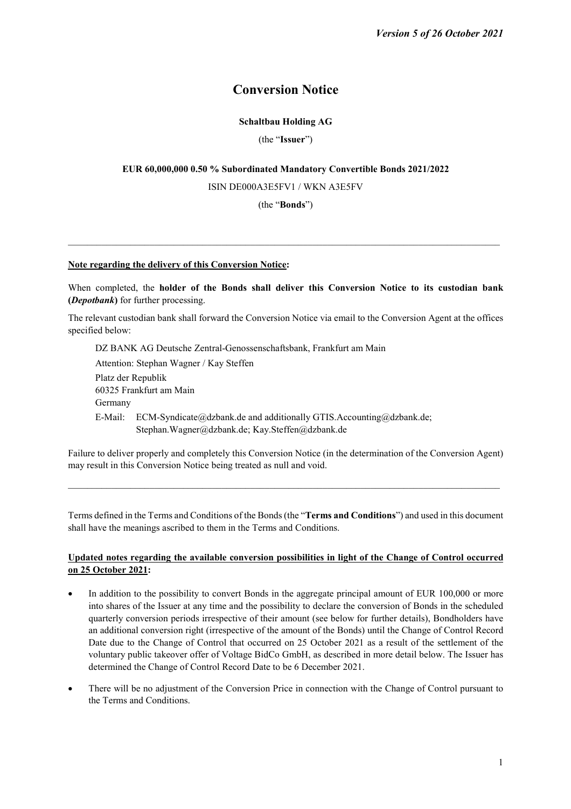# **Conversion Notice**

# **Schaltbau Holding AG**

(the "**Issuer**")

# **EUR 60,000,000 0.50 % Subordinated Mandatory Convertible Bonds 2021/2022**

ISIN DE000A3E5FV1 / WKN A3E5FV

(the "**Bonds**")

 $\mathcal{L}_\text{max}$ 

## **Note regarding the delivery of this Conversion Notice:**

When completed, the **holder of the Bonds shall deliver this Conversion Notice to its custodian bank (***Depotbank***)** for further processing.

The relevant custodian bank shall forward the Conversion Notice via email to the Conversion Agent at the offices specified below:

DZ BANK AG Deutsche Zentral-Genossenschaftsbank, Frankfurt am Main Attention: Stephan Wagner / Kay Steffen Platz der Republik 60325 Frankfurt am Main Germany E-Mail: ECM-Syndicate@dzbank.de and additionally GTIS.Accounting@dzbank.de; Stephan.Wagner@dzbank.de; Kay.Steffen@dzbank.de

Failure to deliver properly and completely this Conversion Notice (in the determination of the Conversion Agent) may result in this Conversion Notice being treated as null and void.

 $\mathcal{L}_\text{max}$ 

Terms defined in the Terms and Conditions of the Bonds (the "**Terms and Conditions**") and used in this document shall have the meanings ascribed to them in the Terms and Conditions.

# **Updated notes regarding the available conversion possibilities in light of the Change of Control occurred on 25 October 2021:**

- In addition to the possibility to convert Bonds in the aggregate principal amount of EUR 100,000 or more into shares of the Issuer at any time and the possibility to declare the conversion of Bonds in the scheduled quarterly conversion periods irrespective of their amount (see below for further details), Bondholders have an additional conversion right (irrespective of the amount of the Bonds) until the Change of Control Record Date due to the Change of Control that occurred on 25 October 2021 as a result of the settlement of the voluntary public takeover offer of Voltage BidCo GmbH, as described in more detail below. The Issuer has determined the Change of Control Record Date to be 6 December 2021.
- There will be no adjustment of the Conversion Price in connection with the Change of Control pursuant to the Terms and Conditions.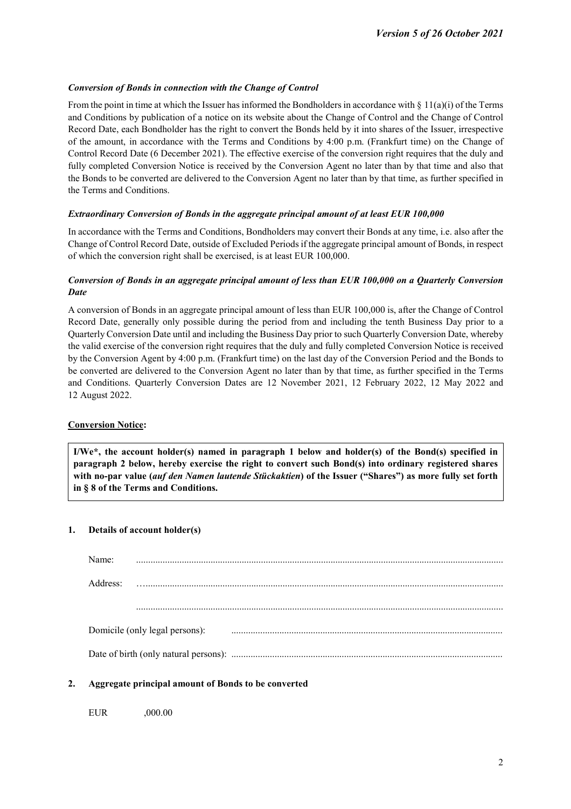## *Conversion of Bonds in connection with the Change of Control*

From the point in time at which the Issuer has informed the Bondholders in accordance with § 11(a)(i) of the Terms and Conditions by publication of a notice on its website about the Change of Control and the Change of Control Record Date, each Bondholder has the right to convert the Bonds held by it into shares of the Issuer, irrespective of the amount, in accordance with the Terms and Conditions by 4:00 p.m. (Frankfurt time) on the Change of Control Record Date (6 December 2021). The effective exercise of the conversion right requires that the duly and fully completed Conversion Notice is received by the Conversion Agent no later than by that time and also that the Bonds to be converted are delivered to the Conversion Agent no later than by that time, as further specified in the Terms and Conditions.

## *Extraordinary Conversion of Bonds in the aggregate principal amount of at least EUR 100,000*

In accordance with the Terms and Conditions, Bondholders may convert their Bonds at any time, i.e. also after the Change of Control Record Date, outside of Excluded Periods if the aggregate principal amount of Bonds, in respect of which the conversion right shall be exercised, is at least EUR 100,000.

# *Conversion of Bonds in an aggregate principal amount of less than EUR 100,000 on a Quarterly Conversion Date*

A conversion of Bonds in an aggregate principal amount of less than EUR 100,000 is, after the Change of Control Record Date, generally only possible during the period from and including the tenth Business Day prior to a Quarterly Conversion Date until and including the Business Day prior to such Quarterly Conversion Date, whereby the valid exercise of the conversion right requires that the duly and fully completed Conversion Notice is received by the Conversion Agent by 4:00 p.m. (Frankfurt time) on the last day of the Conversion Period and the Bonds to be converted are delivered to the Conversion Agent no later than by that time, as further specified in the Terms and Conditions. Quarterly Conversion Dates are 12 November 2021, 12 February 2022, 12 May 2022 and 12 August 2022.

## **Conversion Notice:**

**I/We\*, the account holder(s) named in paragraph 1 below and holder(s) of the Bond(s) specified in paragraph 2 below, hereby exercise the right to convert such Bond(s) into ordinary registered shares with no-par value (***auf den Namen lautende Stückaktien***) of the Issuer ("Shares") as more fully set forth in § 8 of the Terms and Conditions.**

#### **1. Details of account holder(s)**

| Name:                          |  |  |
|--------------------------------|--|--|
| Address <sup>.</sup>           |  |  |
|                                |  |  |
| Domicile (only legal persons): |  |  |
|                                |  |  |

## **2. Aggregate principal amount of Bonds to be converted**

EUR ,000.00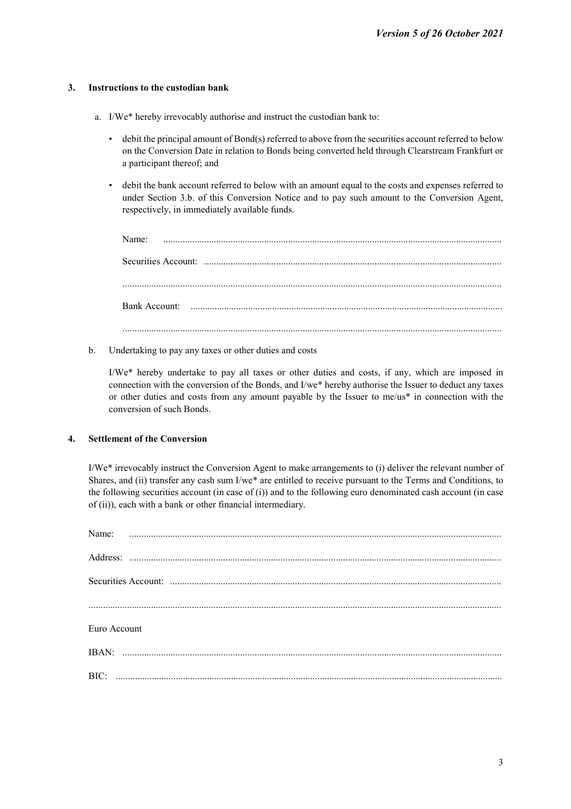# **3. Instructions to the custodian bank**

- a. I/We\* hereby irrevocably authorise and instruct the custodian bank to:
	- debit the principal amount of Bond(s) referred to above from the securities account referred to below on the Conversion Date in relation to Bonds being converted held through Clearstream Frankfurt or a participant thereof; and
	- debit the bank account referred to below with an amount equal to the costs and expenses referred to under Section 3.b. of this Conversion Notice and to pay such amount to the Conversion Agent, respectively, in immediately available funds.

| Name: |  |  |  |  |
|-------|--|--|--|--|
|       |  |  |  |  |
|       |  |  |  |  |
|       |  |  |  |  |
|       |  |  |  |  |

b. Undertaking to pay any taxes or other duties and costs

I/We\* hereby undertake to pay all taxes or other duties and costs, if any, which are imposed in connection with the conversion of the Bonds, and I/we\* hereby authorise the Issuer to deduct any taxes or other duties and costs from any amount payable by the Issuer to me/us\* in connection with the conversion of such Bonds.

## **4. Settlement of the Conversion**

I/We\* irrevocably instruct the Conversion Agent to make arrangements to (i) deliver the relevant number of Shares, and (ii) transfer any cash sum I/we\* are entitled to receive pursuant to the Terms and Conditions, to the following securities account (in case of (i)) and to the following euro denominated cash account (in case of (ii)), each with a bank or other financial intermediary.

| Name:        |  |  |  |  |  |
|--------------|--|--|--|--|--|
|              |  |  |  |  |  |
|              |  |  |  |  |  |
|              |  |  |  |  |  |
|              |  |  |  |  |  |
|              |  |  |  |  |  |
| Euro Account |  |  |  |  |  |
|              |  |  |  |  |  |
| BIC:         |  |  |  |  |  |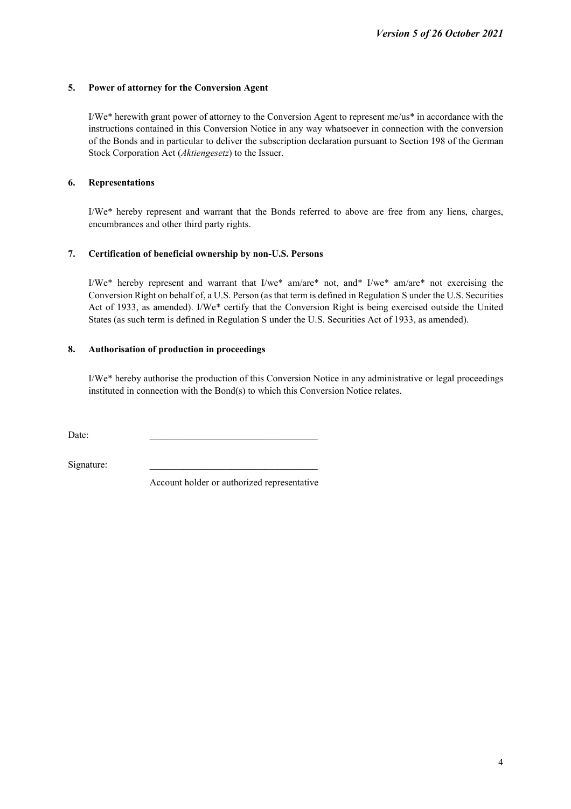# **5. Power of attorney for the Conversion Agent**

I/We\* herewith grant power of attorney to the Conversion Agent to represent me/us\* in accordance with the instructions contained in this Conversion Notice in any way whatsoever in connection with the conversion of the Bonds and in particular to deliver the subscription declaration pursuant to Section 198 of the German Stock Corporation Act (*Aktiengesetz*) to the Issuer.

# **6. Representations**

I/We\* hereby represent and warrant that the Bonds referred to above are free from any liens, charges, encumbrances and other third party rights.

# **7. Certification of beneficial ownership by non-U.S. Persons**

I/We<sup>\*</sup> hereby represent and warrant that I/we<sup>\*</sup> am/are<sup>\*</sup> not, and<sup>\*</sup> I/we<sup>\*</sup> am/are<sup>\*</sup> not exercising the Conversion Right on behalf of, a U.S. Person (as that term is defined in Regulation S under the U.S. Securities Act of 1933, as amended). I/We\* certify that the Conversion Right is being exercised outside the United States (as such term is defined in Regulation S under the U.S. Securities Act of 1933, as amended).

# **8. Authorisation of production in proceedings**

I/We\* hereby authorise the production of this Conversion Notice in any administrative or legal proceedings instituted in connection with the Bond(s) to which this Conversion Notice relates.

 $Date:$ 

Signature:

Account holder or authorized representative